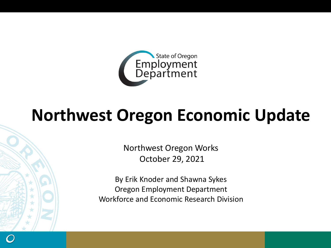

## **Northwest Oregon Economic Update**

Northwest Oregon Works October 29, 2021

By Erik Knoder and Shawna Sykes Oregon Employment Department Workforce and Economic Research Division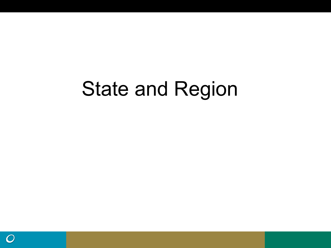# State and Region

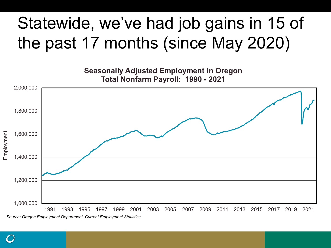## Statewide, we've had job gains in 15 of the past 17 months (since May 2020)



*Source: Oregon Employment Department, Current Employment Statistics*

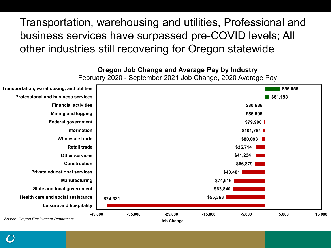Transportation, warehousing and utilities, Professional and business services have surpassed pre-COVID levels; All other industries still recovering for Oregon statewide



**Job Change**

*Source: Oregon Employment Department*

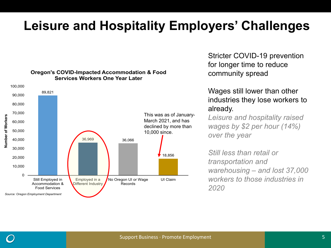### **Leisure and Hospitality Employers' Challenges**



for longer time to reduce community spread **Oregon's COVID-Impacted Accommodation & Food Services Workers One Year Later**

> Wages still lower than other industries they lose workers to already.

Stricter COVID-19 prevention

*Leisure and hospitality raised wages by \$2 per hour (14%) over the year*

*Still less than retail or transportation and warehousing – and lost 37,000 workers to those industries in 2020*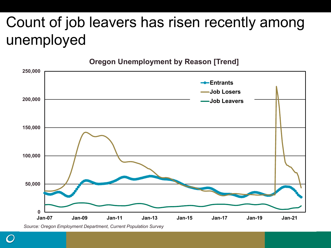## Count of job leavers has risen recently among unemployed



**Oregon Unemployment by Reason [Trend]**

*Source: Oregon Employment Department, Current Population Survey*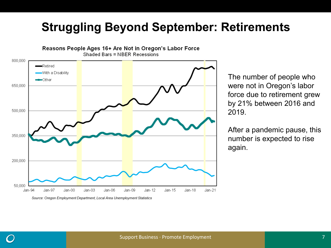### **Struggling Beyond September: Retirements**



Reasons People Ages 16+ Are Not in Oregon's Labor Force

Source: Oregon Employment Department, Local Area Unemployment Statistics

The number of people who were not in Oregon's labor force due to retirement grew by 21% between 2016 and 2019.

After a pandemic pause, this number is expected to rise again.

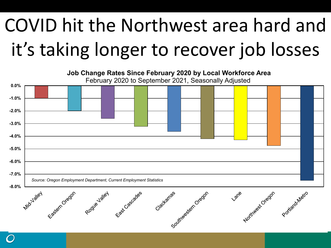# COVID hit the Northwest area hard and it's taking longer to recover job losses

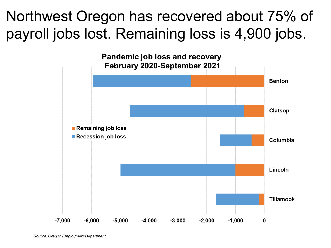## Northwest Oregon has recovered about 75% of payroll jobs lost. Remaining loss is 4,900 jobs.

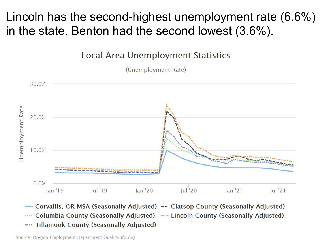Lincoln has the second-highest unemployment rate (6.6%) in the state. Benton had the second lowest (3.6%).

**Local Area Unemployment Statistics** 

(Unemployment Rate)





Source: Oregon Employment Department Qualityinfo.org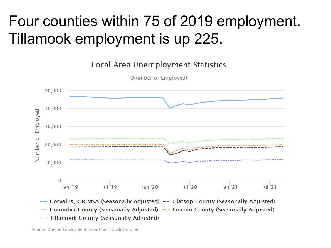## Four counties within 75 of 2019 employment. Tillamook employment is up 225.



Source: Oregon Employment Department Qualityinfo.org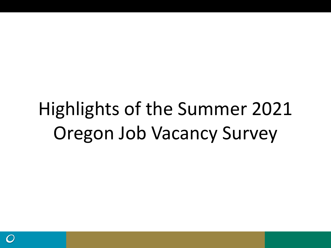# Highlights of the Summer 2021 Oregon Job Vacancy Survey

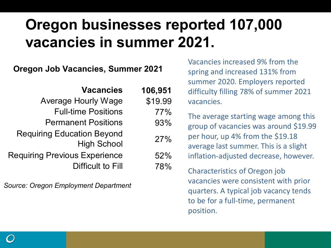## **Oregon businesses reported 107,000 vacancies in summer 2021.**

#### **Oregon Job Vacancies, Summer 2021**

| <b>Vacancies</b>                                                 | 106,951    |
|------------------------------------------------------------------|------------|
| <b>Average Hourly Wage</b>                                       | \$19.99    |
| <b>Full-time Positions</b>                                       | 77%        |
| <b>Permanent Positions</b>                                       | 93%        |
| <b>Requiring Education Beyond</b><br><b>High School</b>          | 27%        |
| <b>Requiring Previous Experience</b><br><b>Difficult to Fill</b> | 52%<br>78% |

*Source: Oregon Employment Department*

Vacancies increased 9% from the spring and increased 131% from summer 2020. Employers reported difficulty filling 78% of summer 2021 vacancies.

The average starting wage among this group of vacancies was around \$19.99 per hour, up 4% from the \$19.18 average last summer. This is a slight inflation-adjusted decrease, however.

Characteristics of Oregon job vacancies were consistent with prior quarters. A typical job vacancy tends to be for a full-time, permanent position.

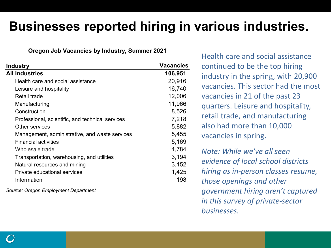### **Businesses reported hiring in various industries.**

#### **Oregon Job Vacancies by Industry, Summer 2021**

| <b>Industry</b>                                  | <b>Vacancies</b> |
|--------------------------------------------------|------------------|
| <b>All Industries</b>                            | 106,951          |
| Health care and social assistance                | 20,916           |
| Leisure and hospitality                          | 16,740           |
| Retail trade                                     | 12,006           |
| Manufacturing                                    | 11,966           |
| Construction                                     | 8,526            |
| Professional, scientific, and technical services | 7,218            |
| Other services                                   | 5,882            |
| Management, administrative, and waste services   | 5,455            |
| <b>Financial activities</b>                      | 5,169            |
| Wholesale trade                                  | 4,784            |
| Transportation, warehousing, and utilities       | 3,194            |
| Natural resources and mining                     | 3,152            |
| Private educational services                     | 1,425            |
| Information                                      | 198              |
|                                                  |                  |

*Source: Oregon Employment Department*

Health care and social assistance continued to be the top hiring industry in the spring, with 20,900 vacancies. This sector had the most vacancies in 21 of the past 23 quarters. Leisure and hospitality, retail trade, and manufacturing also had more than 10,000 vacancies in spring.

*Note: While we've all seen evidence of local school districts hiring as in-person classes resume, those openings and other government hiring aren't captured in this survey of private-sector businesses.*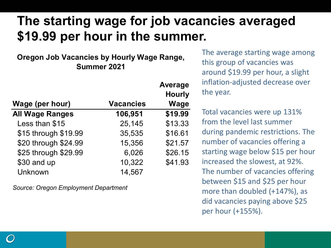## **The starting wage for job vacancies averaged \$19.99 per hour in the summer.**

#### **Oregon Job Vacancies by Hourly Wage Range, Summer 2021**

|                        |                  | <b>Average</b> |
|------------------------|------------------|----------------|
|                        |                  | <b>Hourly</b>  |
| Wage (per hour)        | <b>Vacancies</b> | <b>Wage</b>    |
| <b>All Wage Ranges</b> | 106,951          | \$19.99        |
| Less than \$15         | 25,145           | \$13.33        |
| \$15 through \$19.99   | 35,535           | \$16.61        |
| \$20 through \$24.99   | 15,356           | \$21.57        |
| \$25 through \$29.99   | 6,026            | \$26.15        |
| \$30 and up            | 10,322           | \$41.93        |
| Unknown                | 14,567           |                |

*Source: Oregon Employment Department*

The average starting wage among this group of vacancies was around \$19.99 per hour, a slight inflation-adjusted decrease over the year.

Total vacancies were up 131% from the level last summer during pandemic restrictions. The number of vacancies offering a starting wage below \$15 per hour increased the slowest, at 92%. The number of vacancies offering between \$15 and \$25 per hour more than doubled (+147%), as did vacancies paying above \$25 per hour (+155%).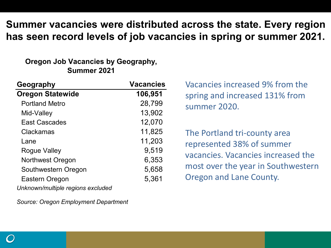#### **Summer vacancies were distributed across the state. Every region has seen record levels of job vacancies in spring or summer 2021.**

#### **Oregon Job Vacancies by Geography, Summer 2021**

| Geography                         | <b>Vacancies</b> |
|-----------------------------------|------------------|
| <b>Oregon Statewide</b>           | 106,951          |
| <b>Portland Metro</b>             | 28,799           |
| Mid-Valley                        | 13,902           |
| <b>East Cascades</b>              | 12,070           |
| Clackamas                         | 11,825           |
| Lane                              | 11,203           |
| Rogue Valley                      | 9,519            |
| <b>Northwest Oregon</b>           | 6,353            |
| Southwestern Oregon               | 5,658            |
| Eastern Oregon                    | 5,361            |
| Unknown/multiple regions excluded |                  |

*Source: Oregon Employment Department*

Vacancies increased 9% from the spring and increased 131% from summer 2020.

The Portland tri-county area represented 38% of summer vacancies. Vacancies increased the most over the year in Southwestern Oregon and Lane County.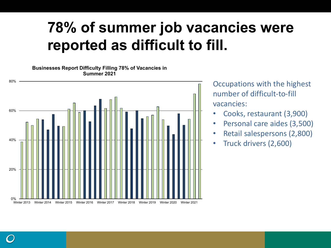## **78% of summer job vacancies were reported as difficult to fill.**

#### **Businesses Report Difficulty Filling 78% of Vacancies in Summer 2021**



Occupations with the highest number of difficult-to-fill vacancies:

- Cooks, restaurant (3,900)
- Personal care aides (3,500)
- Retail salespersons (2,800)
- Truck drivers (2,600)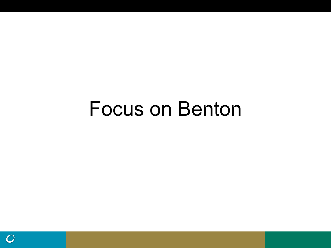## Focus on Benton

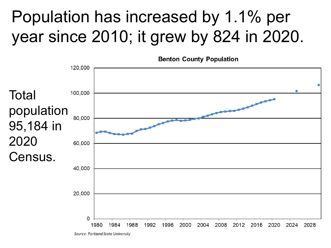## Population has increased by 1.1% per year since 2010; it grew by 824 in 2020.



Source: Portland State University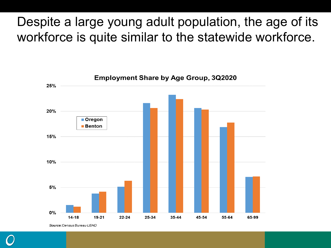### Despite a large young adult population, the age of its workforce is quite similar to the statewide workforce.

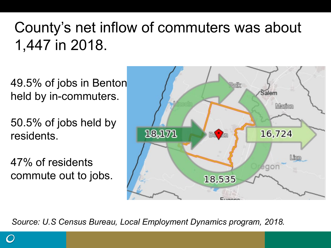## County's net inflow of commuters was about 1,447 in 2018.

49.5% of jobs in Benton held by in-commuters.

50.5% of jobs held by residents.

47% of residents commute out to jobs.



*Source: U.S Census Bureau, Local Employment Dynamics program, 2018.*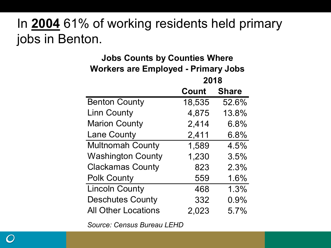### In **2004** 61% of working residents held primary jobs in Benton.

| <b>Jobs Counts by Counties Where</b>       |                    |       |  |  |
|--------------------------------------------|--------------------|-------|--|--|
| <b>Workers are Employed - Primary Jobs</b> |                    |       |  |  |
|                                            | 2018               |       |  |  |
|                                            | <b>Count Share</b> |       |  |  |
| <b>Benton County</b>                       | 18,535             | 52.6% |  |  |
| <b>Linn County</b>                         | 4,875              | 13.8% |  |  |
| <b>Marion County</b>                       | 2,414              | 6.8%  |  |  |
| <b>Lane County</b>                         | 2,411              | 6.8%  |  |  |
| <b>Multnomah County</b>                    | 1,589              | 4.5%  |  |  |
| <b>Washington County</b>                   | 1,230              | 3.5%  |  |  |
| <b>Clackamas County</b>                    | 823                | 2.3%  |  |  |
| <b>Polk County</b>                         | 559                | 1.6%  |  |  |
| <b>Lincoln County</b>                      | 468                | 1.3%  |  |  |
| <b>Deschutes County</b>                    | 332                | 0.9%  |  |  |
| <b>All Other Locations</b>                 | 2.023              | 5.7%  |  |  |

*Source: Census Bureau LEHD*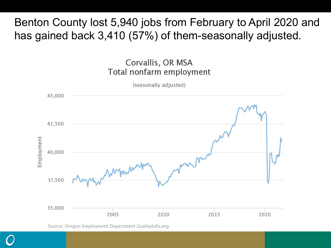Benton County lost 5,940 jobs from February to April 2020 and has gained back 3,410 (57%) of them-seasonally adjusted.



Source: Oregon Employment Department QualityInfo.org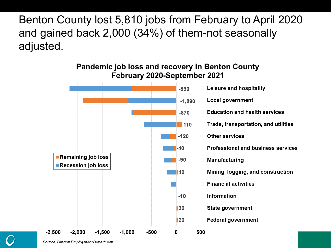Benton County lost 5,810 jobs from February to April 2020 and gained back 2,000 (34%) of them-not seasonally adjusted.



Source: Oregon Employment Department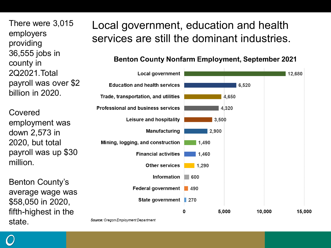There were 3,015 employers providing 36,555 jobs in county in 2Q2021.Total payroll was over \$2 billion in 2020.

Covered employment was down 2,573 in 2020, but total payroll was up \$30 million.

Benton County's average wage was \$58,050 in 2020, fifth-highest in the state.

### Local government, education and health services are still the dominant industries.

#### **Benton County Nonfarm Employment, September 2021**



Source: Oregon Employment Department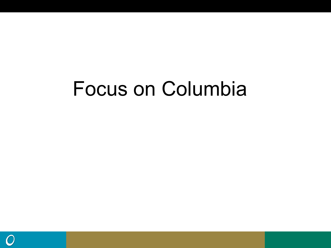# Focus on Columbia

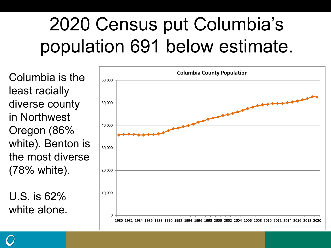# 2020 Census put Columbia's population 691 below estimate.

Columbia is the least racially diverse county in Northwest Oregon (86% white). Benton is the most diverse (78% white).

U.S. is 62% white alone.

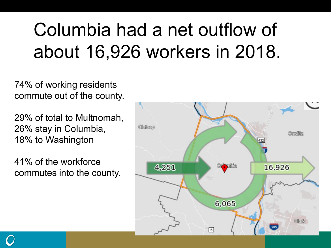# Columbia had a net outflow of about 16,926 workers in 2018.

74% of working residents commute out of the county.

29% of total to Multnomah, 26% stay in Columbia, 18% to Washington

41% of the workforce commutes into the county.



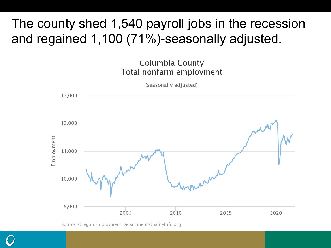## The county shed 1,540 payroll jobs in the recession and regained 1,100 (71%)-seasonally adjusted.



Source: Oregon Employment Department QualityInfo.org

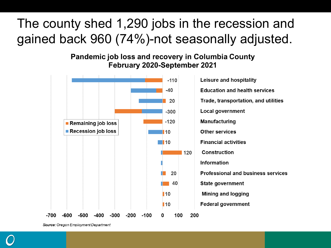## The county shed 1,290 jobs in the recession and gained back 960 (74%)-not seasonally adjusted.

**Pandemic job loss and recovery in Columbia County** February 2020-September 2021



Source: Oregon Employment Department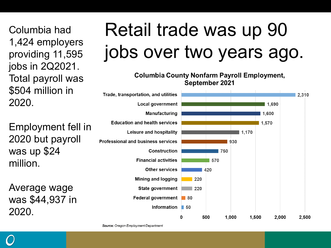Columbia had 1,424 employers providing 11,595 jobs in 2Q2021. Total payroll was \$504 million in 2020.

Employment fell in 2020 but payroll was up \$24 million.

Average wage was \$44,937 in 2020.

# Retail trade was up 90 jobs over two years ago.

**Columbia County Nonfarm Payroll Employment,** September 2021



Source: Oregon Employment Department